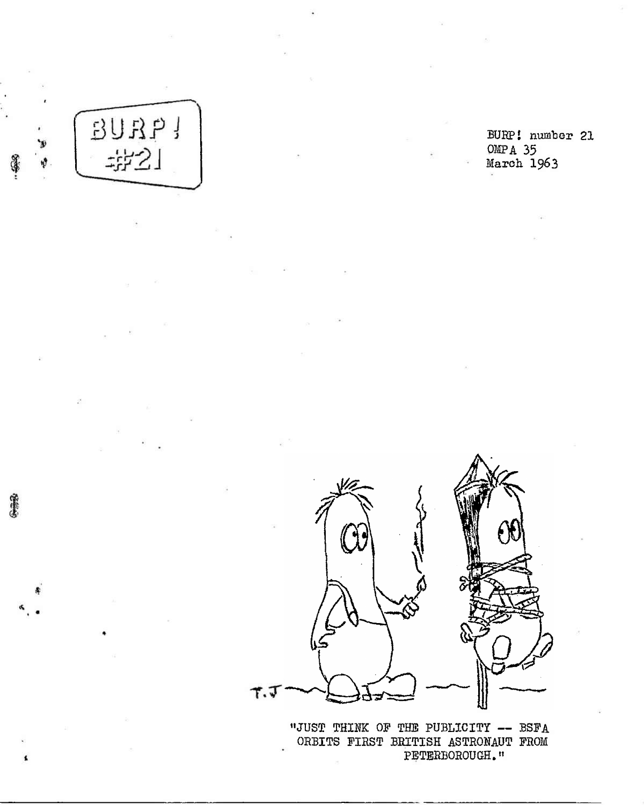

医漂亮

BURP! number 21 OMPA 35 March 1963



''JUST THINK OF THE PUBLICITY — BSFA ORBITS FIRST BRITISH ASTRONAUT FROM PETERBOROUGH."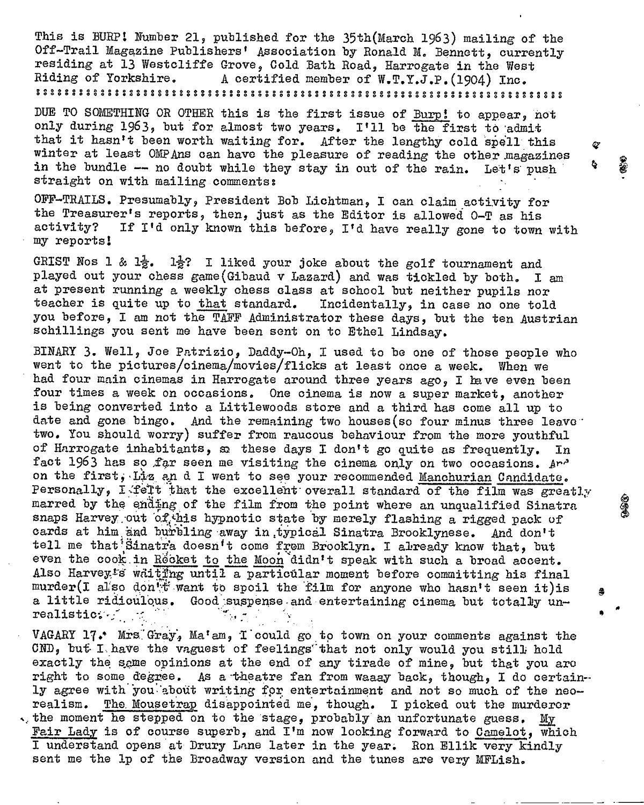This is BURP! Number 21, published for the 35th(March 1963) mailing of the Off-Trail Magazine Publishers' Association by Ronald M. Bennett, currently residing at 13 Westcliffe Grove, Cold Bath Road, Harrogate in the West<br>Riding of Yorkshire. A certified member of W.T.Y.J.P. (1904) The. Riding of Yorkshire, <sup>A</sup> certified member of W.T.Y.J.P.(1904) Inc.

DUE TO SOMETHING OR OTHER this is the first issue of Burp! to appear, hot only during 1963, but for almost two years. I'll be the first to admit that it hasn't been worth waiting for. After the lengthy cold spell this winter at least OMPAns can have the pleasure of reading the other magazines in the bundle  $-$  no doubt while they stay in out of the rain. Let's push straight on with mailing comments?

OFF-TRAILS. Presumably, President Bob Lichtman, I can claim activity for the Treasurer's reports, then, just as the Editor is allowed  $0-T$  as his activity? If I'd only known this before. I'd have really gone to town If I'd only known this before, I'd have really gone to town with my reports!

GRIST Nos 1 & 1 $\frac{1}{2}$ . 1 $\frac{1}{2}$ ? I liked your joke about the golf tournament and played out your chess game(Gibaud v Lazard) and was tickled by both. I am at present running a weekly chess class at school but neither pupils nor teacher is quite up to that standard. you before, I am not the TAFF Administrator these days, but the ten Austrian schillings you sent me have been sent on to Ethel Lindsay.

BINARY 3. Well, Joe Patrizio, Baddy-Oh, I used to be one of those people who went to the pictures/oinema/movies/flicks at least once a week. When we had four main cinemas in Harrogate around three years ago, I lave even been four times a week on occasions. One cinema is now a super market, another is being converted into a Littlewoods store and a third has come all up to date and gone bingo. And the remaining two houses(so four minus three leave ' two. You should worry) suffer from raucous behaviour from the more youthful of Harrogate inhabitants, sa these days I don't go quite as frequently. In fact 1963 has so far seen me visiting the cinema only on two occasions. And on the first, Liz an d I went to see your recommended Manchurian Candidate. Personally, I felt that the excellent overall standard of the film was greatly marred by the ending of the film from the point where an unqualified Sinatra snaps Harvey out of this hypnotic state by merely flashing a rigged pack of cards at him and burbling away in typical Sinatra Brooklynese. And don't tell me that Sinatra doesn't come from Brooklyn. I already know that, but even the cook in Rocket to the Moon didn't speak with such a broad accent. Also Harvey's whiting until a particular moment before committing his final murder(I also don for want to spoil the film for anyone who hasn't seen it) is a little ridiculous. Good-suspense-and entertaining cinema but totally un-realistic:  $realistic; \text{if} \quad \text{if}$ 

VAGARY  $17$ . Mrs. Gray, Ma'am, I could go to town on your comments against the CND, but I have the vaguest of feelings that not only would you still hold exactly the same opinions at the end of any tirade of mine, but that you are right to some degree. As a'theatre fan from waaay back, though, I do certainly agree with you about writing for entertainment and not so much of the neorealism. The. Mousetrap disappointed me, though. I picked out the murderer  $\cdot$ , the moment he stepped on to the stage, probably an unfortunate guess. My Fair Lady is of course superb, and I'm now looking forward to Camelot, which I understand opens at Drury Lane later in the year. Ron Ellik very kindly sent me the 1p of the Broadway version and the tunes are very MFLish.

es.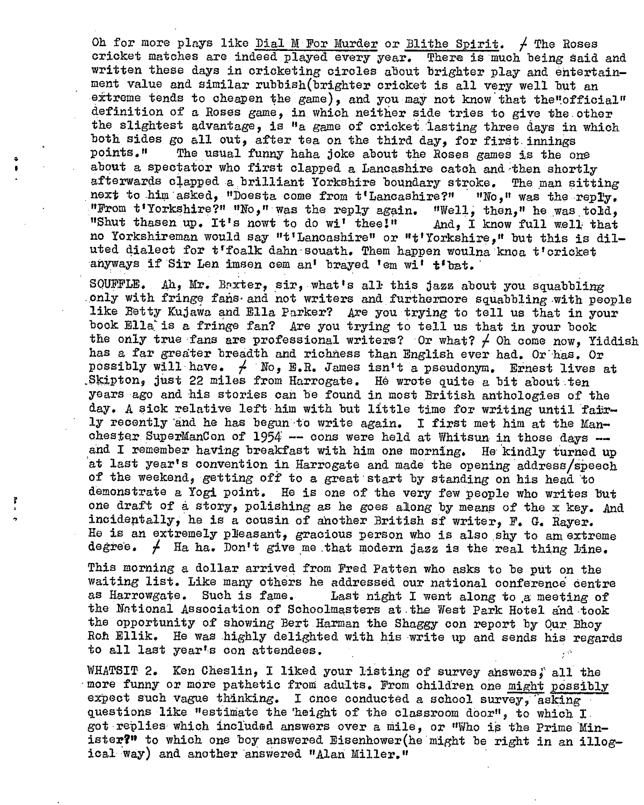Oh for more plays like Dial M For Murder or Blithe Spirit.  $\neq$  The Roses cricket matches are indeed played every year. There is much being said and written these days in cricketing circles about brighter play and entertainment value and similar rubbish(brighter cricket is all very well but an extreme tends to cheapen the game), and you may not know that the"official" definition of a Roses game, in which neither side tries to give the.other the slightest advantage, is "a game of cricket lasting three days in which both sides go all out, after tea on the third day, for first innings points." The usual funny haba joke about the Roses games is the ou The usual funny haha joke about the Roses games is the one about a spectator who first clapped a Lancashire catch and then shortly afterwards clapped a brilliant Yorkshire boundary stroke. The man sitting next to him asked, "Doesta come from t'Lancashire?" "Ho," was the reply. next to him asked, "Doesta come from t'Lancashire?" "No," was the reply.<br>"From t'Yorkshire?" "No," was the reply again. "Well, then," he was told, "from t'iorkshire?" "No," was the reply again. "Well, then," he was told<br>"Shut thasen up. It's nowt to do wi' thee!" And, I know full well that "Shut thasen up. It's nowt to do wi' thee!" And, I know full well that no Yorkshireman would say "t'Lancashire" or "t'Yorkshire," but this is dilno Yorkshireman would say "t'Lancashire" or "t'Yorkshire," but this is<br>uted dialect for t'foalk dahn-souath. Them happen woulna knoa t'cricket uted dialect for t'foalk dahn souath. Them happen wouln<br>anyways if Sir Len imsen cem an' brayed 'em wi' t'bat.

SOUFFLE. Ah, Mr. Baxter, sir, what'<sup>s</sup> all this jazz about you squabbling only with fringe fans and not writers and furthermore squabbling with people like Betty Kujawa and Ella Parker? Are you trying to tell us that in your book Ella? is a fringe fan? Are you trying to tell us that in your book the only true fans are professional writers? Or what?  $\neq$  Oh come now, Yiddish has a far greater breadth and richness than English ever had. Or has. Or possibly will have.  $/$  No, E.R. James isn't a pseudonym. Ernest lives at .Skipton? just <sup>22</sup> miles from Harrogate, He wrote quite a bit about ten years ago and his stories can be found in most British anthologies of the day. A sick relative left him with but little time for writing until fairly recently 'and he has begun -to write again. I first met him at the Manchester SuperManCon of  $1954$  - cons were held at Whitsun in those days and I remember having breakfast with him one morning. He kindly turned up at last year's convention in Harrogate and made the opening address/speech of the weekend, getting off to a great start by standing on his head to demonstrate *<sup>a</sup>* Yogi point. He is one of the very few people who writes But one draft of a story, polishing as he goes along by means of the x key. And incidentally, he is a cousin of another British sf writer, F. G. Payer. He is an extremely pleasant, gracious person who is also shy to am extreme degree.  $f$  Ha ha. Don't give me that modern jazz is the real thing line.

This morning a dollar arrived from Fred Patten who asks to be put on the waiting list. Like many others he addressed our national conference centre<br>as Harrowgate. Such is fame. Last night I went along to a meeting of Last night I went along to a meeting of the National Association of Schoolmasters at.the West Park Hotel and took the opportunity of showing Bert.Harman the Shaggy con report by Our. Bhoy Roh Ellik. He was highly delighted with his write up and sends his regards to all last year's con attendees.

WHATSIT 2. Ken Cheslin, I liked your listing of survey answers, all the more funny or more pathetic from adults. From children one might possibly expect such vague thinking. I once conducted a school survey, 'asking questions like "estimate the height of the classroom door", to which I. got replies which included answers over a mile, or "Who is the Prime Minister?" to which one boy answered Eisenhower(he might be right in an illogical way) and another answered "Alan Miller,"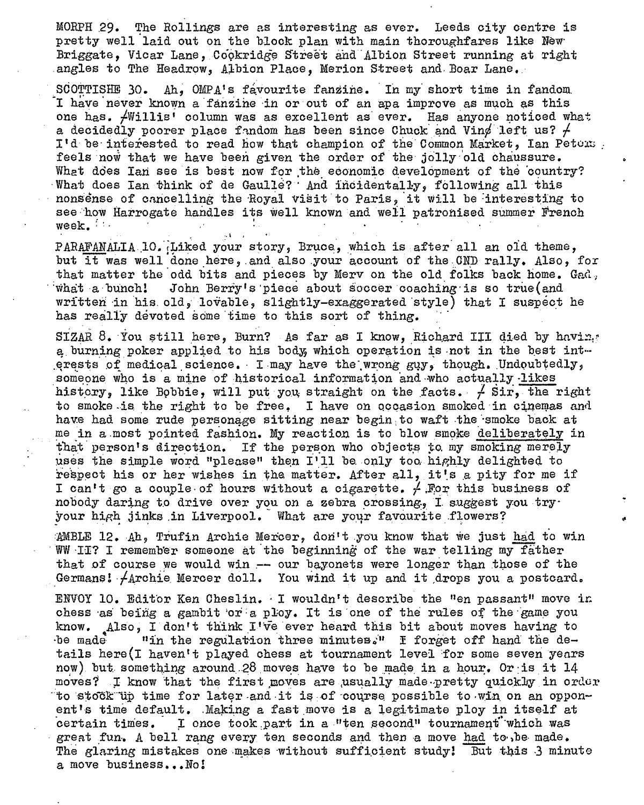MORPH 29. The Rollings are as interesting as ever. Leeds city centre is pretty well laid out on the block plan with main thoroughfares like New Briggate, Vicar Lane, Copkridge Street and Albion Street running at right angles to The Headrow, Albion Place, Merion Street and Boar Lane.

SCOTTISHE 30. Ah, OMPA's favourite fanzine. In my short time in fandom. I have never known a fanzine in or out of an apa improve as much as this one has. /Willis' column was as excellent as' ever. Has anyone noticed what a decidedly poorer place fandom has been since Chuck and Ving left us?  $\neq$ I'd be interested to read how that champion of the Common Market, Ian Petons. feels now that we have been given the order of the jolly-old chaussure. What does lan see is best now for the economic development of the country? •What does Ian think of de Gaulle? ' And incidentally, following all this nonsense of cancelling the Royal visit to Paris, it will be interesting to see how Harrogate handles its well known and well patronised summer French week. week.  $\frac{1}{2}$  and  $\frac{1}{2}$  and  $\frac{1}{2}$  and  $\frac{1}{2}$  and  $\frac{1}{2}$  and  $\frac{1}{2}$  and  $\frac{1}{2}$  and  $\frac{1}{2}$  and  $\frac{1}{2}$  and  $\frac{1}{2}$  and  $\frac{1}{2}$  and  $\frac{1}{2}$  and  $\frac{1}{2}$  and  $\frac{1}{2}$  and  $\frac{1}{2}$  and  $\frac{1$ 

PARAFANALIA 10. Liked your story, Bruce, which is after all an old theme, but it was well done here, and also your account of the OND rally. Also, for that matter the odd bits and pieces by Merv on the old folks back home. Gad; 'what <sup>a</sup> bunch! John Berry \*s'piece about soccer coaching-is so true(and written in his. old, lovable, slightly-exaggerated style) that I suspect he has really devoted some time to this sort of thing.

• . I f  $\mathbf{A} = \mathbf{A} \cdot \mathbf{A}$  is a set of  $\mathbf{A} = \mathbf{A} \cdot \mathbf{A}$  . In the set of  $\mathbf{A} = \mathbf{A} \cdot \mathbf{A}$ 

SIZAR  $8$ . You still here, Burn? As far as I know, Richard III died by having a burning poker applied to his body, which operation is not in the best interests of medical science. I may have the wrong guy, though. Undoubtedly, someone who is a mine of historical information and-who actually -likes history, like Bobbie, will put you, straight on the facts.  $\neq$  Sir, the right to smoke is the right to be free. I have on occasion smoked in cinemas and have had some rude personage sitting near begin to waft the smoke back at me in a most pointed fashion. My reaction is to blow smoke deliberately in that person'<sup>s</sup> direction. If the person who objects to. my smoking merely uses the simple word "please" then I'll be only too highly delighted to respect his or her wishes in the matter. After all, it's a pity for me if I can't go a couple of hours without a cigarette.  $\neq$  For this business of nobody daring to drive over you on a zebra crossing, I. suggest you tryyour high jinks .in Liverpool. What are your favourite .flowers?

AMBLE  $12.$  Ah, Trufin Archie Mercer, don't you know that we just had to win WW II? I remember someone at the beginning of the war telling my father that of course we would win  $-$  our bayonets were longer than those of the Germans! Archie Mercer doll. You wind it up and it drops you a postcard.

ENVOY 10. Editor Ken Cheslin. - I wouldn't describe the "en passant" move in chess as being a gambit or a ploy. It is one of the rules of the game you know. Also, I don't think  $I^T\bar{v}e$  ever heard this bit about moves having to be made  $\cdots$  in the regulation three minutes." I forget off hand the de-"in the regulation three minutes." I forget off hand the details here(I haven't played chess at tournament level for some seven years now) but something around.28 moves have to be made in a hour. Or is it  $14$ moves? I know that the first moves are usually made-pretty quickly in order to stock'up time for later-and it is of course possible to win on an opponent's time default. Making a fast move is a legitimate ploy in itself at certain times. I once took part in a "ten second" tournament which was great fun. A bell rang every ten seconds and then a move had to be made. The glaring mistakes one makes without sufficient study! But this  $3$  minute <sup>a</sup> move business...No!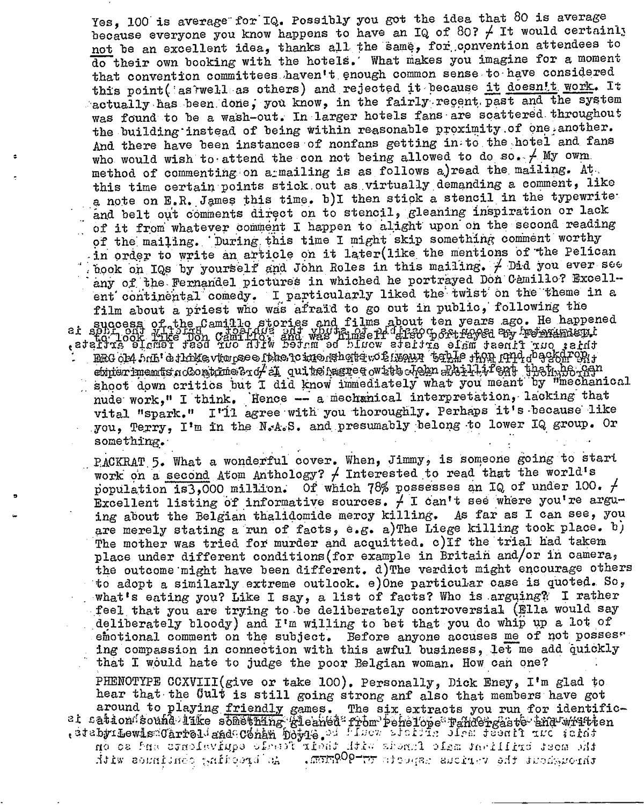Yes, 100 is average for IQ. Possibly you got the idea that 80 is average because everyone you know happens to have an IQ of 80?  $\neq$  It would certainly not be an excellent idea, thanks all the same, for .convention attendees to do their own booking with the hotels.' What makes you imagine for a moment that convention committees haven't enough common sense to have considered this point( as rwell as others) and rejected it because it doesnit work. It actually has been done, you know, in the fairly recent past and the system was found to be a wash-out. In larger hotels fans are scattered throughout the building instead of being within reasonable proximity of one another. And there have been instances of nonfans getting in to the hotel and fans who would wish to attend the con not being allowed to do so.  $/$  My own. method of commenting on a mailing is as follows a)read the mailing. At this time certain points stick.out as.virtually.demanding a comment, like hind the ecretain points with a virtuality demanding a simple in<br>a note on E, R, Jenes this time. b) I then stick a stencil in<br>a note on E, R, Jenes this time. b) I then stick a stencil in<br>a hote on E, R, Jenes this time. a note on E.R..James this time. b)l then stick a stencil in the typewriteand belt out comments direct on to stencil, gleaning inspiration or lack  $\mathbf{r}$ of it from whatever comment I happen to alight upon on the second reading of the. mailing..' During.this time <sup>I</sup> might skip something comment worthy - in order to write an article oh it later(like the mentions of the pelican . book on IQs by yourself and John Roles in this mailing.  $\neq$  Did you ever see any of the Fernandel pictures in whiched he portrayed Don Camillo? Excellent continental comedy. I particularly liked the twist on the theme in a film about a priest who was afraid to go out in public, following the . success of the Jamillo stories and films about ten years ago. He happened tatata element teed in uitw berem ed binow aterixe element ind terminal teed.<br>This was been reading to be a run to be a run teed of the seat in the second indicate and indicate the seated  $q$ uito țagu $\bar{q}$ experiments nosots the stup of dutuelises of every executive and incompositive order nude work," I think. Hence -- a mechanical interpretation, lacking that vital "spark." I'll agree with you thoroughly. Perhaps it's because like you, Terry, I'm in the N.A.S. and presumably belong to lower IQ group. Or something.

RACKRAT.5. What a wonderful cover. When, Jimmy, is someone going to start work on a second Atom Anthology?  $\neq$  Interested to read that the world's population is3,000 million. Of which 78% possesses an IQ of under 100.  $\neq$ Excellent listing of informative sources.  $\neq$  I can't see where you're arguing about the Belgian thalidomide mercy killing, As far as I can see, you are merely stating a run of facts, e.g. a) The Liege killing took place. b) The mother was tried for murder and acquitted. c) If the trial had takem place under different conditions(for example in Britain and/or in camera, the outcome'might have been different, d)The verdict might encourage others to adopt a similarly extreme outlook. e)0ne particular case is quoted,. So, what's eating you? Like I say, a list of facts? Who is arguing?: I rather feel that you are trying to-be deliberately controversial (Ella would say . deliberately bloody) and I'<sup>m</sup> willing to bet that you do whip up <sup>a</sup> lot of emotional comment on the subject. Before anyone accuses me of not posses. ing compassion in connection with this awful business, let me add quickly that I would hate to judge the poor Belgian woman. How can one?

PHENOTYPE CCXVIII(give or take 100). Personally, Dick Eney, I'm glad to hear that the Quit is still going strong anf also that members have got around to playing friendly games. The six extracts you run for identificet sation;s ouhd lake something gleaned from Pehelopes Pahdergaste-thurwhitten . at a by Lewismonia that somewhing greaned from Penerope Fandergaste and which no cs Pus csnolaviupo olient xhend direct shown olsm in filing deca .h.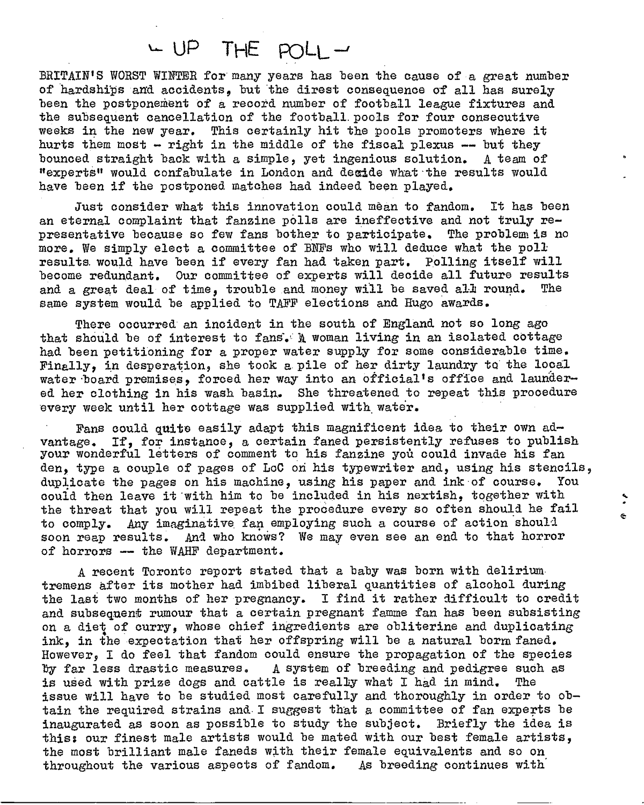## UP <sup>T</sup>he poll-

BRITAIN'<sup>S</sup> WORST WINTER for many years has been the cause of a great number of hardships and accidents, but the direst consequence of all has surely been the postponement of a record number of football league fixtures and the subsequent cancellation of the football, pools for four consecutive weeks in the new year. This certainly hit the pools promoters where it hurts them most - right in the middle of the fiscal plexus — but they bounced straight back with a simple, yet ingenious solution. <sup>A</sup> team of "experts" would confabulate in London and decide what the results would have been if the postponed matches had indeed been played.

Just consider what this innovation could mean to fandom. It has been an eternal complaint that fanzine polls are ineffective and not truly representative because so few fans bother to participate. The problem is no more. We simply elect a committee of BWs who will deduce what the pollresults would have been if every fan had taken part. Polling itself will become redundant. Our committee of experts will decide all future results<br>and a great deal of time, trouble and money will be saved all round. The and a great deal of time, trouble and money will be saved all round. same system would be applied to TAFF elections and Hugo awards.

There occurred an incident in the south of England not so long ago that should be of interest to fans. A woman living in an isolated cottage had been petitioning for a proper water supply for some considerable time. Finally, in desperation, she took a pile of her dirty laundry to the local water board premises, forced her way into an official's office and laundered her clothing in his wash basin. She threatened to repeat this procedure every week until her cottage was supplied with water.

Fans could quite easily adapt this magnificent idea to their own advantage. If, for instance, <sup>a</sup> certain faned persistently refuses to publish your wonderful letters of comment to his fanzine you could invade his fan den, type a couple of pages of LoC on his typewriter and, using his stencils, duplicate the pages on his machine, using his paper and ink of course. You could then leave it 'with him to be included in his nextish, together with the threat that you will repeat the procedure every so often should he fail to comply. Any imaginative, fan employing such a course of action should soon reap results. And who knows? We may even see an end to that horror of horrors — the WAHF department.

<sup>A</sup> recent Toronto report stated that a baby was born with delirium, tremens after its mother had imbibed liberal quantities of alcohol during the last two months of her pregnancy. I find it rather difficult to credit and subsequent rumour that a certain pregnant famine fan has been subsisting on a diet of curry, whose chief ingredients are obliterine and duplicating ink, in the expectation that her offspring will be a natural borm faned. However, I do feel that fandom could ensure the propagation of the species by far less drastic measures. A system of breeding and pedigree such as the used with prize does and cattle is really what I had in mind. The is used with prize dogs and cattle is really what I had in mind. issue will have to be studied most carefully and thoroughly in order to obtain the required strains and- I suggest that a committee of fan experts be inaugurated as soon as possible to study the subject. Briefly the idea is this; our finest male artists would be mated with our best female artists, the most brilliant male faneds with their female equivalents and so on throughout the various aspects of fandom. As breeding continues with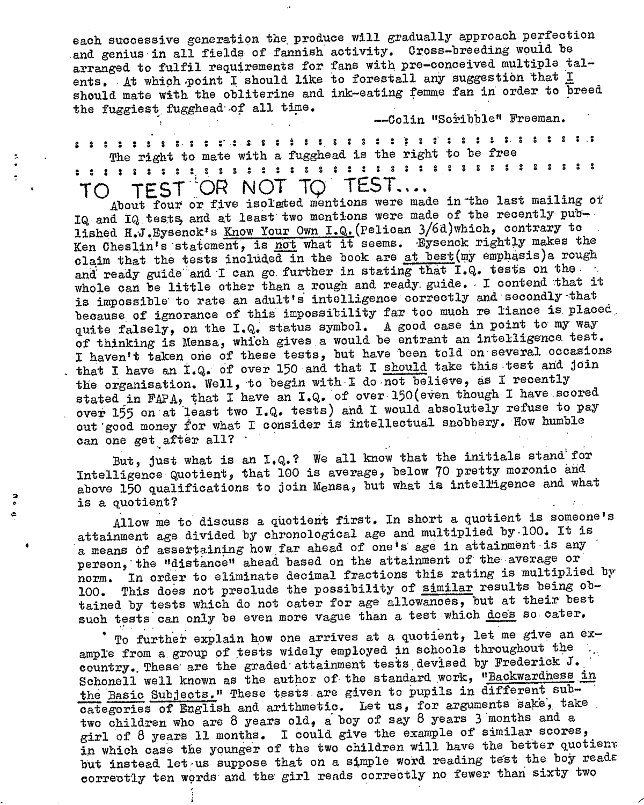each successive generation the produce will gradually approach perfection and genius in all fields of fannish activity. Cross-breeding would be arranged to fulfil requirements for fans with pre-conceived multiple talents. At which point I should like to forestall any suggestion that I should mate with the obliterine and ink-eating femme fan in order to breed the fuggiest fugghead of all time.

--Colin "Scribble" Freeman.

« \* . • • • • • • <sup>e</sup> <sup>r</sup> : <sup>5</sup> <sup>s</sup> ; <sup>i</sup> <sup>s</sup> : \$ <sup>s</sup> ? ? s': <sup>8</sup> <sup>s</sup>' <sup>s</sup> <sup>s</sup> <sup>s</sup> • \* <sup>s</sup> <sup>s</sup> <sup>s</sup> <sup>8</sup> <sup>s</sup> The right to mate with a fugghead is the right to be free TO TEST OR NOT TO TEST....

About four or five isolated mentions were made in the last mailing of IQ and IQ tests, and at least two mentions were made of the recently  $\text{pub}-1$ lished H.J. Eysenck's Know Your Own I.Q. (Pelican 3/6d)which, contrary to Ken Cheslin's statement, is not what it seems. Eysenck rightly makes the claim that the tests included in the book are at best(my emphasis)a rough and ready guide and I can go further in stating that I.Q. tests on the whole can be little other than <sup>a</sup> rough and ready, guide. - I contend that it is impossible' to rate an adult's intelligence correctly and secondly that because of ignorance of this impossibility far too much re liance is placed. quite falsely, on the I.Q, status symbol. <sup>A</sup> good case in point to my way of thinking is Mensa, which gives a would be entrant an intelligence test. I haven't taken one of these tests, but have been told on several occasions that I have an I.Q. of over 150 and that I should take this test and join the organisation. Well, to begin with I do not believe, as I recently stated in FAPA, that I have an I.Q. of over 150(even though I have scored over 155 on at least two I.Q. tests) and I would absolutely refuse to pay out'good money for what I consider is intellectual snobbery. How humble can one get after all? '

But, just what is an I.Q.? We all know that the initials stand for Intelligence Quotientj that <sup>100</sup> is average, below ?0 pretty moronic and. above 150 qualifications to join Mensa, but what is intelligence and what distribution of the contract of the contract of the contract of the contract of the contract of the contract of the contract of the contract of the contract of the contract of the contract of the contract of the contract o

Allow me to discuss <sup>a</sup> quotient first. In short a quotient is someone'<sup>s</sup> attainment age divided by chronological age and multiplied by-100. It is a means of assertaining how far ahead of one's age in attainment is any person, the "distance" ahead based on the attainment of the average or norm. In order to eliminate decimal fractions this rating is multiplied by 100. This does not preclude the possibility of similar results being obtained by tests which do not cater for age allowances, but at their best such tests can only be even more vague than a test which does so cater.

To further explain how one arrives at a quotient, let me give an example from a group of tests widely employed in schools throughout the country. These' are the graded-attainment tests devised by Frederick J.. Schonell well known as the author of the standard work, "Backwardness in the Basic Subjects." These tests are given to pupils in different subcategories of English and arithmetic. Let us, for arguments sake, take two children who are 8 years old, a boy of say <sup>8</sup> years <sup>3</sup> months and a girl of <sup>8</sup> years <sup>11</sup> months. I could give the example of similar scores, in which case the younger of the two children will have the better quotient but instead let us suppose that on a simple word reading test the boy reads correctly ten words and the girl reads correctly no fewer than sixty two